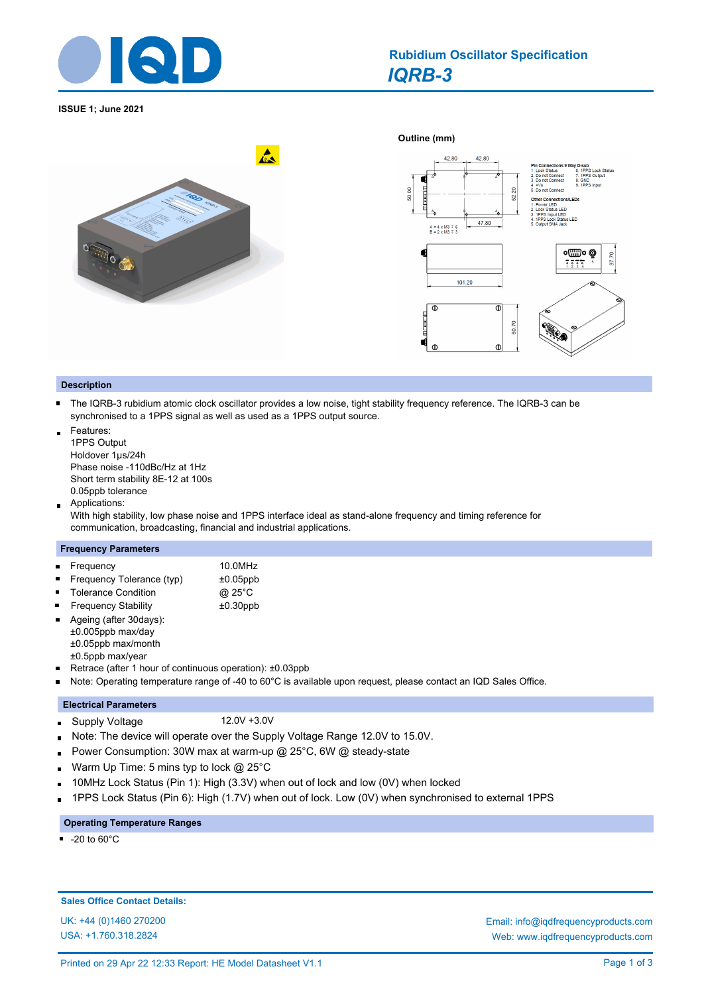

**ISSUE 1; June 2021**





## **Description**

- The IQRB-3 rubidium atomic clock oscillator provides a low noise, tight stability frequency reference. The IQRB-3 can be synchronised to a 1PPS signal as well as used as a 1PPS output source.
- Features: 1PPS Output Holdover 1μs/24h Phase noise -110dBc/Hz at 1Hz Short term stability 8E-12 at 100s 0.05ppb tolerance
- Applications:  $\blacksquare$

With high stability, low phase noise and 1PPS interface ideal as stand-alone frequency and timing reference for communication, broadcasting, financial and industrial applications.

#### **Frequency Parameters**

| • Frequency               | 10.0MHz     |
|---------------------------|-------------|
| Frequency Tolerance (typ) | $±0.05$ ppb |

- Tolerance Condition **@ 25°C** Frequency Stability ±0.30ppb
- Ageing (after 30days): ±0.005ppb max/day ±0.05ppb max/month ±0.5ppb max/year
- Retrace (after 1 hour of continuous operation): ±0.03ppb  $\blacksquare$
- Note: Operating temperature range of -40 to 60°C is available upon request, please contact an IQD Sales Office.  $\blacksquare$

## **Electrical Parameters**

- Supply Voltage 12.0V +3.0V ×
- Note: The device will operate over the Supply Voltage Range 12.0V to 15.0V. o.
- Power Consumption: 30W max at warm-up @ 25°C, 6W @ steady-state  $\blacksquare$
- Warm Up Time: 5 mins typ to lock @ 25°C ä.
- 10MHz Lock Status (Pin 1): High (3.3V) when out of lock and low (0V) when locked n.
- 1PPS Lock Status (Pin 6): High (1.7V) when out of lock. Low (0V) when synchronised to external 1PPS

#### **Operating Temperature Ranges**

 $-20$  to 60 $^{\circ}$ C

**Sales Office Contact Details:**

USA: +1.760.318.2824

UK: +44 (0)1460 270200 Email: info@iqdfrequencyproducts.com Web: www.iqdfrequencyproducts.com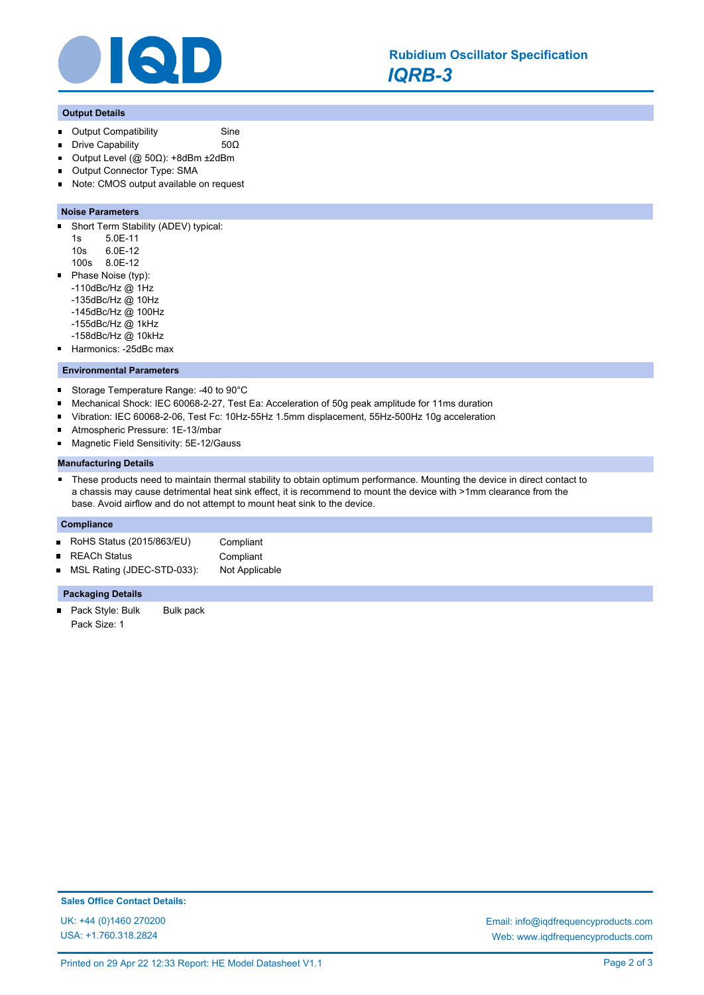

## **Output Details**

- Output Compatibility **Sine**  $\blacksquare$
- $\blacksquare$ Drive Capability 50Ω
- $\blacksquare$ Output Level (@ 50Ω): +8dBm ±2dBm
- Output Connector Type: SMA  $\blacksquare$
- Note: CMOS output available on request  $\blacksquare$

## **Noise Parameters**

- $\blacksquare$ Short Term Stability (ADEV) typical:
	- 1s 5.0E-11
	- 10s 6.0E-12
	- 100s 8.0E-12
- Phase Noise (typ):  $\blacksquare$ 
	- -110dBc/Hz @ 1Hz
	- -135dBc/Hz @ 10Hz
	- -145dBc/Hz @ 100Hz -155dBc/Hz @ 1kHz
	-
	- -158dBc/Hz @ 10kHz
- Harmonics: -25dBc max

## **Environmental Parameters**

- $\blacksquare$ Storage Temperature Range: -40 to 90°C
- $\blacksquare$ Mechanical Shock: IEC 60068-2-27, Test Ea: Acceleration of 50g peak amplitude for 11ms duration
- $\blacksquare$ Vibration: IEC 60068-2-06, Test Fc: 10Hz-55Hz 1.5mm displacement, 55Hz-500Hz 10g acceleration
- Atmospheric Pressure: 1E-13/mbar
- Magnetic Field Sensitivity: 5E-12/Gauss o.

#### **Manufacturing Details**

 $\blacksquare$ These products need to maintain thermal stability to obtain optimum performance. Mounting the device in direct contact to a chassis may cause detrimental heat sink effect, it is recommend to mount the device with >1mm clearance from the base. Avoid airflow and do not attempt to mount heat sink to the device.

## **Compliance**

- RoHS Status (2015/863/EU) Compliant  $\blacksquare$
- REACh Status **Compliant**  $\blacksquare$
- MSL Rating (JDEC-STD-033): Not Applicable

#### **Packaging Details**

Pack Style: Bulk Bulk pack  $\blacksquare$ Pack Size: 1

UK: +44 (0)1460 270200 Email: info@iqdfrequencyproducts.com Web: www.iqdfrequencyproducts.com